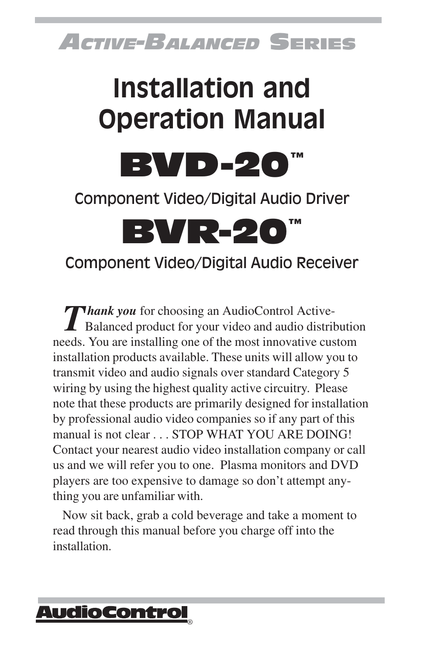# **Installation and Operation Manual**



### Component Video/Digital Audio Driver

**BVR-20"** 

### Component Video/Digital Audio Receiver

*Thank you* for choosing an AudioControl Active-Balanced product for your video and audio distribution needs. You are installing one of the most innovative custom installation products available. These units will allow you to transmit video and audio signals over standard Category 5 wiring by using the highest quality active circuitry. Please note that these products are primarily designed for installation by professional audio video companies so if any part of this manual is not clear . . . STOP WHAT YOU ARE DOING! Contact your nearest audio video installation company or call us and we will refer you to one. Plasma monitors and DVD players are too expensive to damage so don't attempt anything you are unfamiliar with.

Now sit back, grab a cold beverage and take a moment to read through this manual before you charge off into the installation.

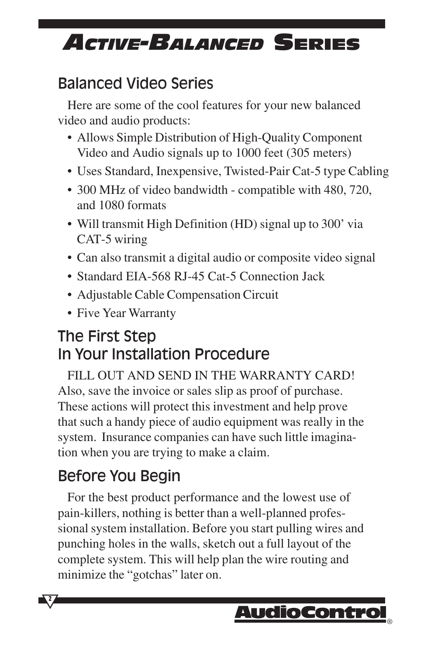### **Balanced Video Series**

Here are some of the cool features for your new balanced video and audio products:

- Allows Simple Distribution of High-Quality Component Video and Audio signals up to 1000 feet (305 meters)
- Uses Standard, Inexpensive, Twisted-Pair Cat-5 type Cabling
- 300 MHz of video bandwidth compatible with 480, 720, and 1080 formats
- Will transmit High Definition (HD) signal up to 300' via CAT-5 wiring
- Can also transmit a digital audio or composite video signal
- Standard EIA-568 RJ-45 Cat-5 Connection Jack
- Adjustable Cable Compensation Circuit
- Five Year Warranty

#### **The First Step** In Your Installation Procedure

FILL OUT AND SEND IN THE WARRANTY CARD! Also, save the invoice or sales slip as proof of purchase. These actions will protect this investment and help prove that such a handy piece of audio equipment was really in the system. Insurance companies can have such little imagination when you are trying to make a claim.

### **Before You Begin**

**2**

For the best product performance and the lowest use of pain-killers, nothing is better than a well-planned professional system installation. Before you start pulling wires and punching holes in the walls, sketch out a full layout of the complete system. This will help plan the wire routing and minimize the "gotchas" later on.

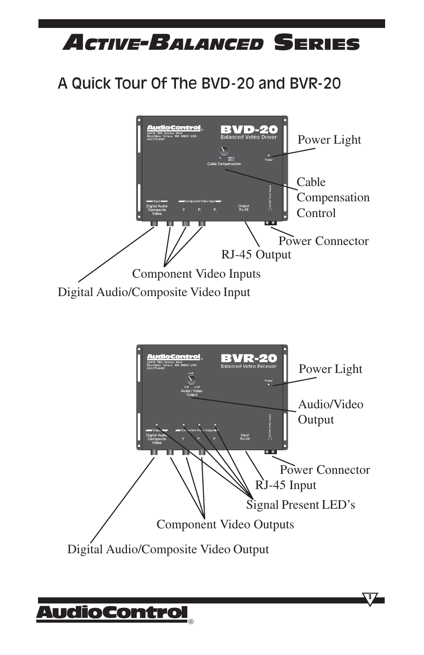### A Quick Tour Of The BVD-20 and BVR-20



®

**3**

<u> AudioControl</u>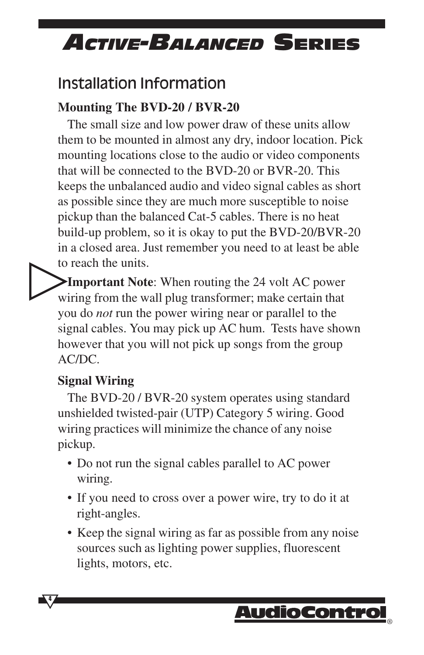### Installation Information

#### **Mounting The BVD-20 / BVR-20**

The small size and low power draw of these units allow them to be mounted in almost any dry, indoor location. Pick mounting locations close to the audio or video components that will be connected to the BVD-20 or BVR-20. This keeps the unbalanced audio and video signal cables as short as possible since they are much more susceptible to noise pickup than the balanced Cat-5 cables. There is no heat build-up problem, so it is okay to put the BVD-20/BVR-20 in a closed area. Just remember you need to at least be able to reach the units.

**Important Note**: When routing the 24 volt AC power wiring from the wall plug transformer; make certain that you do *not* run the power wiring near or parallel to the signal cables. You may pick up AC hum. Tests have shown however that you will not pick up songs from the group AC/DC.

#### **Signal Wiring**

**4**

The BVD-20 / BVR-20 system operates using standard unshielded twisted-pair (UTP) Category 5 wiring. Good wiring practices will minimize the chance of any noise pickup.

- Do not run the signal cables parallel to AC power wiring.
- If you need to cross over a power wire, try to do it at right-angles.
- Keep the signal wiring as far as possible from any noise sources such as lighting power supplies, fluorescent lights, motors, etc.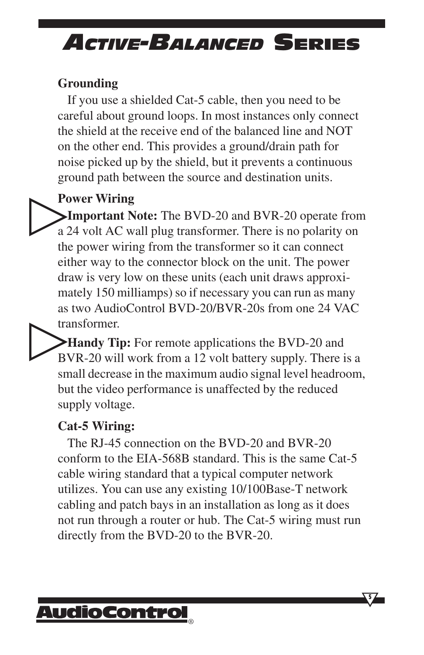#### **Grounding**

If you use a shielded Cat-5 cable, then you need to be careful about ground loops. In most instances only connect the shield at the receive end of the balanced line and NOT on the other end. This provides a ground/drain path for noise picked up by the shield, but it prevents a continuous ground path between the source and destination units.

#### **Power Wiring**

**Important Note:** The BVD-20 and BVR-20 operate from a 24 volt AC wall plug transformer. There is no polarity on the power wiring from the transformer so it can connect either way to the connector block on the unit. The power draw is very low on these units (each unit draws approximately 150 milliamps) so if necessary you can run as many as two AudioControl BVD-20/BVR-20s from one 24 VAC transformer.

**Handy Tip:** For remote applications the BVD-20 and BVR-20 will work from a 12 volt battery supply. There is a small decrease in the maximum audio signal level headroom, but the video performance is unaffected by the reduced supply voltage.

#### **Cat-5 Wiring:**

The RJ-45 connection on the BVD-20 and BVR-20 conform to the EIA-568B standard. This is the same Cat-5 cable wiring standard that a typical computer network utilizes. You can use any existing 10/100Base-T network cabling and patch bays in an installation as long as it does not run through a router or hub. The Cat-5 wiring must run directly from the BVD-20 to the BVR-20.

**5**

#### AudioContro ®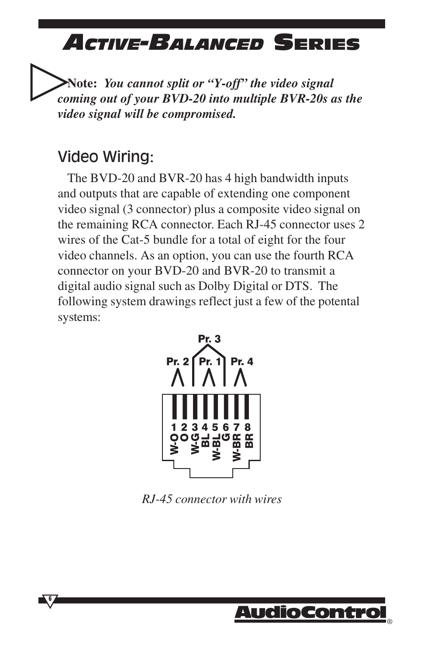**Note:** *You cannot split or "Y-off" the video signal coming out of your BVD-20 into multiple BVR-20s as the video signal will be compromised.*

#### **Video Wiring:**

**6**

The BVD-20 and BVR-20 has 4 high bandwidth inputs and outputs that are capable of extending one component video signal (3 connector) plus a composite video signal on the remaining RCA connector. Each RJ-45 connector uses 2 wires of the Cat-5 bundle for a total of eight for the four video channels. As an option, you can use the fourth RCA connector on your BVD-20 and BVR-20 to transmit a digital audio signal such as Dolby Digital or DTS. The following system drawings reflect just a few of the potental systems:



*RJ-45 connector with wires*

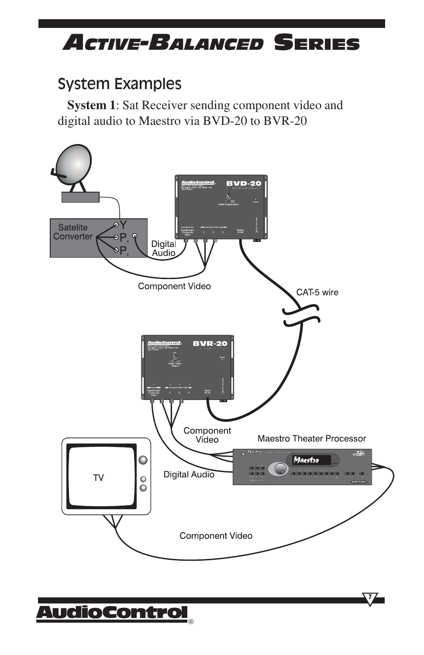#### System Examples

**System 1**: Sat Receiver sending component video and digital audio to Maestro via BVD-20 to BVR-20



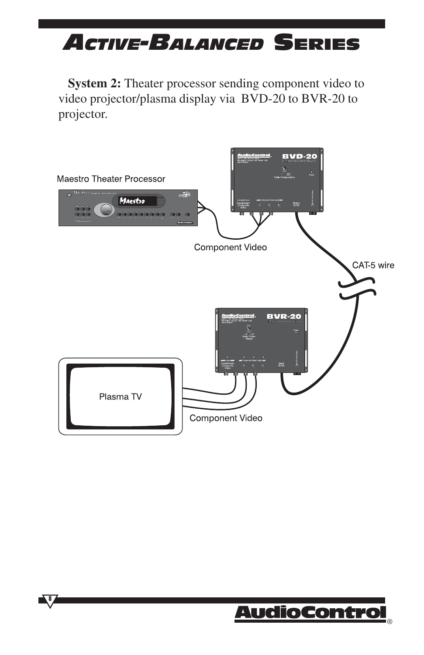**System 2:** Theater processor sending component video to video projector/plasma display via BVD-20 to BVR-20 to projector.



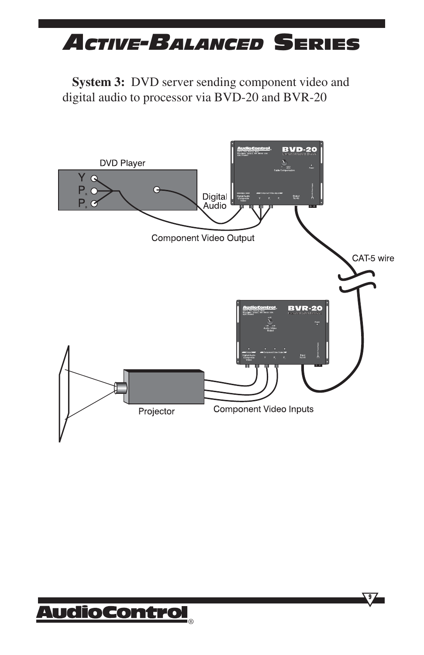**System 3:** DVD server sending component video and digital audio to processor via BVD-20 and BVR-20



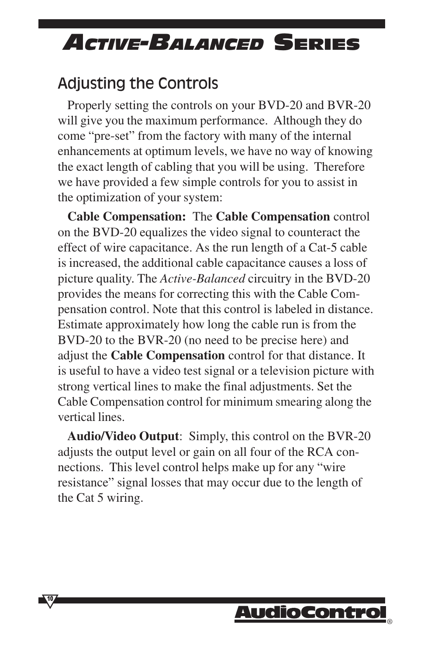### **Adjusting the Controls**

**10** 

Properly setting the controls on your BVD-20 and BVR-20 will give you the maximum performance. Although they do come "pre-set" from the factory with many of the internal enhancements at optimum levels, we have no way of knowing the exact length of cabling that you will be using. Therefore we have provided a few simple controls for you to assist in the optimization of your system:

**Cable Compensation:** The **Cable Compensation** control on the BVD-20 equalizes the video signal to counteract the effect of wire capacitance. As the run length of a Cat-5 cable is increased, the additional cable capacitance causes a loss of picture quality. The *Active-Balanced* circuitry in the BVD-20 provides the means for correcting this with the Cable Compensation control. Note that this control is labeled in distance. Estimate approximately how long the cable run is from the BVD-20 to the BVR-20 (no need to be precise here) and adjust the **Cable Compensation** control for that distance. It is useful to have a video test signal or a television picture with strong vertical lines to make the final adjustments. Set the Cable Compensation control for minimum smearing along the vertical lines.

**Audio/Video Output**: Simply, this control on the BVR-20 adjusts the output level or gain on all four of the RCA connections. This level control helps make up for any "wire resistance" signal losses that may occur due to the length of the Cat 5 wiring.

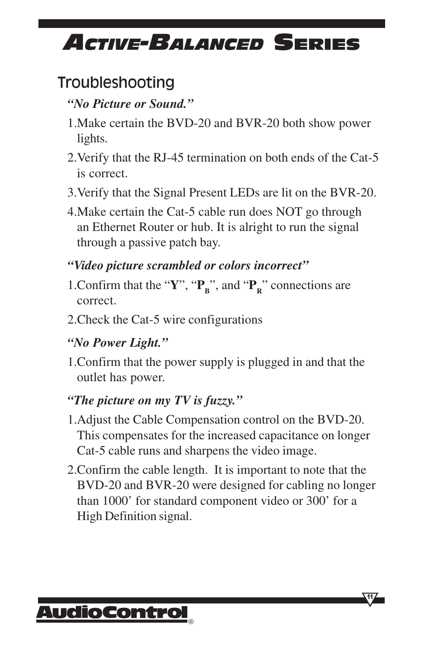#### Troubleshooting

#### *"No Picture or Sound."*

- 1.Make certain the BVD-20 and BVR-20 both show power lights.
- 2.Verify that the RJ-45 termination on both ends of the Cat-5 is correct.
- 3.Verify that the Signal Present LEDs are lit on the BVR-20.
- 4.Make certain the Cat-5 cable run does NOT go through an Ethernet Router or hub. It is alright to run the signal through a passive patch bay.

#### *"Video picture scrambled or colors incorrect"*

- 1. Confirm that the " $Y$ ", " $P_R$ ", and " $P_R$ " connections are correct.
- 2.Check the Cat-5 wire configurations

#### *"No Power Light."*

1.Confirm that the power supply is plugged in and that the outlet has power.

#### *"The picture on my TV is fuzzy."*

- 1.Adjust the Cable Compensation control on the BVD-20. This compensates for the increased capacitance on longer Cat-5 cable runs and sharpens the video image.
- 2.Confirm the cable length. It is important to note that the BVD-20 and BVR-20 were designed for cabling no longer than 1000' for standard component video or 300' for a High Definition signal.

**11**

#### AudioContro ®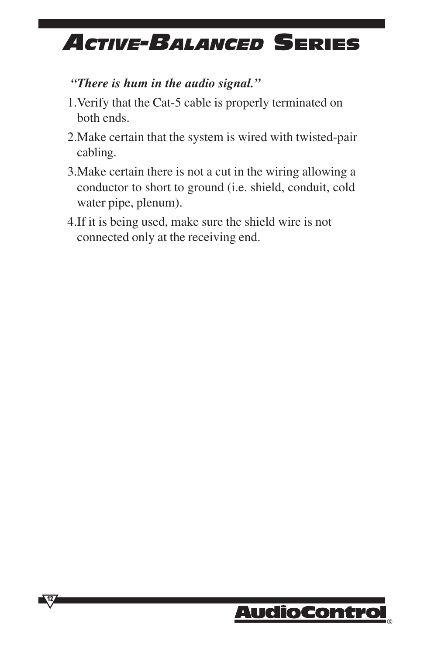#### *"There is hum in the audio signal."*

- 1.Verify that the Cat-5 cable is properly terminated on both ends.
- 2.Make certain that the system is wired with twisted-pair cabling.
- 3.Make certain there is not a cut in the wiring allowing a conductor to short to ground (i.e. shield, conduit, cold water pipe, plenum).
- 4.If it is being used, make sure the shield wire is not connected only at the receiving end.

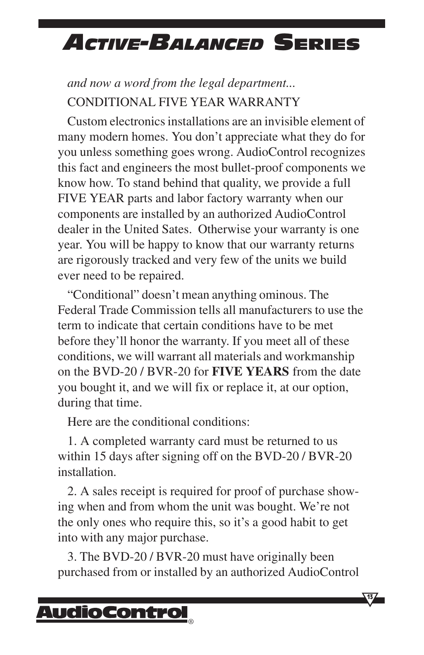#### *and now a word from the legal department...* CONDITIONAL FIVE YEAR WARRANTY

Custom electronics installations are an invisible element of many modern homes. You don't appreciate what they do for you unless something goes wrong. AudioControl recognizes this fact and engineers the most bullet-proof components we know how. To stand behind that quality, we provide a full FIVE YEAR parts and labor factory warranty when our components are installed by an authorized AudioControl dealer in the United Sates. Otherwise your warranty is one year. You will be happy to know that our warranty returns are rigorously tracked and very few of the units we build ever need to be repaired.

"Conditional" doesn't mean anything ominous. The Federal Trade Commission tells all manufacturers to use the term to indicate that certain conditions have to be met before they'll honor the warranty. If you meet all of these conditions, we will warrant all materials and workmanship on the BVD-20 / BVR-20 for **FIVE YEARS** from the date you bought it, and we will fix or replace it, at our option, during that time.

Here are the conditional conditions:

1. A completed warranty card must be returned to us within 15 days after signing off on the BVD-20 / BVR-20 installation.

2. A sales receipt is required for proof of purchase showing when and from whom the unit was bought. We're not the only ones who require this, so it's a good habit to get into with any major purchase.

3. The BVD-20 / BVR-20 must have originally been purchased from or installed by an authorized AudioControl

$$
\sqrt{15} \sqrt{2}
$$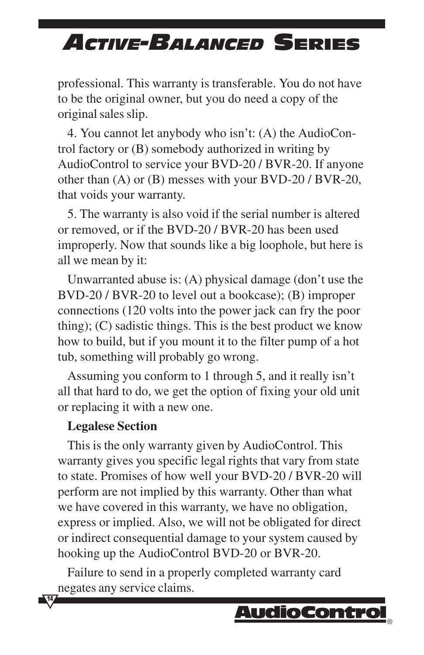professional. This warranty is transferable. You do not have to be the original owner, but you do need a copy of the original sales slip.

4. You cannot let anybody who isn't: (A) the AudioControl factory or (B) somebody authorized in writing by AudioControl to service your BVD-20 / BVR-20. If anyone other than (A) or (B) messes with your BVD-20 / BVR-20, that voids your warranty.

5. The warranty is also void if the serial number is altered or removed, or if the BVD-20 / BVR-20 has been used improperly. Now that sounds like a big loophole, but here is all we mean by it:

Unwarranted abuse is: (A) physical damage (don't use the BVD-20 / BVR-20 to level out a bookcase); (B) improper connections (120 volts into the power jack can fry the poor thing); (C) sadistic things. This is the best product we know how to build, but if you mount it to the filter pump of a hot tub, something will probably go wrong.

Assuming you conform to 1 through 5, and it really isn't all that hard to do, we get the option of fixing your old unit or replacing it with a new one.

#### **Legalese Section**

**14**

This is the only warranty given by AudioControl. This warranty gives you specific legal rights that vary from state to state. Promises of how well your BVD-20 / BVR-20 will perform are not implied by this warranty. Other than what we have covered in this warranty, we have no obligation, express or implied. Also, we will not be obligated for direct or indirect consequential damage to your system caused by hooking up the AudioControl BVD-20 or BVR-20.

Failure to send in a properly completed warranty card negates any service claims.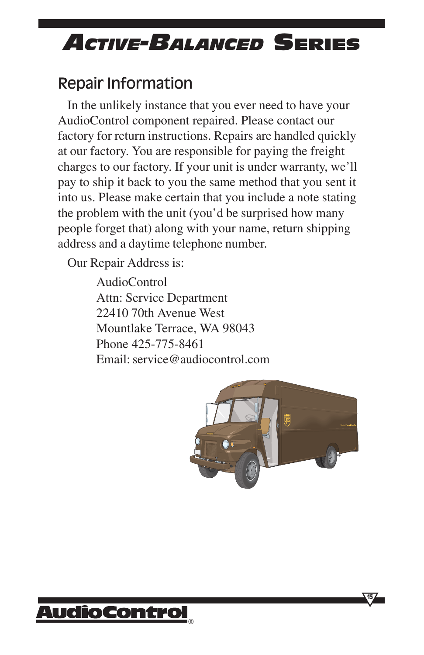### **Repair Information**

In the unlikely instance that you ever need to have your AudioControl component repaired. Please contact our factory for return instructions. Repairs are handled quickly at our factory. You are responsible for paying the freight charges to our factory. If your unit is under warranty, we'll pay to ship it back to you the same method that you sent it into us. Please make certain that you include a note stating the problem with the unit (you'd be surprised how many people forget that) along with your name, return shipping address and a daytime telephone number.

Our Repair Address is:

AudioControl Attn: Service Department 22410 70th Avenue West Mountlake Terrace, WA 98043 Phone 425-775-8461 Email: service@audiocontrol.com





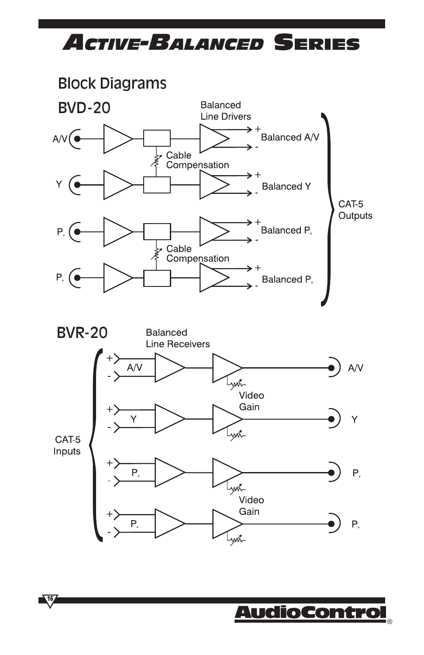

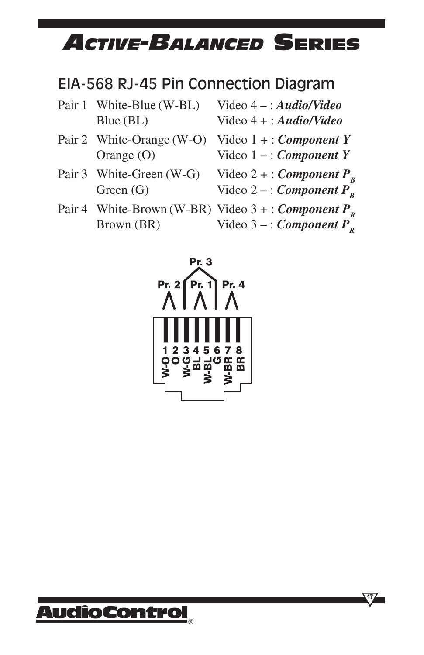#### EIA-568 RJ-45 Pin Connection Diagram

| Pair 1 White-Blue (W-BL) | Video $4 - : Audio/Video$                               |
|--------------------------|---------------------------------------------------------|
| Blue (BL)                | Video $4 + : Audio/Video$                               |
|                          | Pair 2 White-Orange (W-O) Video $1 + : Component Y$     |
| Orange $(O)$             | Video $1 -$ : Component Y                               |
| Pair 3 White-Green (W-G) | Video 2 + : <i>Component</i> $P_B$                      |
| Green $(G)$              | Video 2 – : <i>Component</i> $P_{R}$                    |
|                          | Pair 4 White-Brown (W-BR) Video $3 + \cdot$ Component P |

- 
- White-Brown (W-BR) Video  $3 + :$ *Component P<sub>R</sub>*<br>Brown (BR) Video  $3 :$ *Component P<sub>p</sub>* Video  $3 -$ : *Component P<sub>R</sub>*



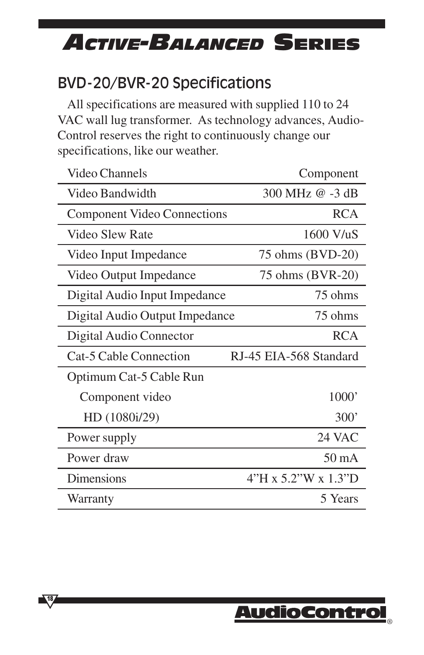### BVD-20/BVR-20 Specifications

All specifications are measured with supplied 110 to 24 VAC wall lug transformer. As technology advances, Audio-Control reserves the right to continuously change our specifications, like our weather.

| <b>Video Channels</b>              | Component              |
|------------------------------------|------------------------|
| Video Bandwidth                    | 300 MHz @ -3 dB        |
| <b>Component Video Connections</b> | <b>RCA</b>             |
| <b>Video Slew Rate</b>             | 1600 V/uS              |
| Video Input Impedance              | 75 ohms (BVD-20)       |
| Video Output Impedance             | 75 ohms (BVR-20)       |
| Digital Audio Input Impedance      | 75 ohms                |
| Digital Audio Output Impedance     | 75 ohms                |
| Digital Audio Connector            | <b>RCA</b>             |
| Cat-5 Cable Connection             | RJ-45 EIA-568 Standard |
| Optimum Cat-5 Cable Run            |                        |
| Component video                    | 1000'                  |
| HD (1080i/29)                      | 300'                   |
| Power supply                       | 24 VAC                 |
| Power draw                         | $50 \text{ mA}$        |
| <b>Dimensions</b>                  | 4"H x 5.2"W x 1.3"D    |
| Warranty                           | 5 Years                |

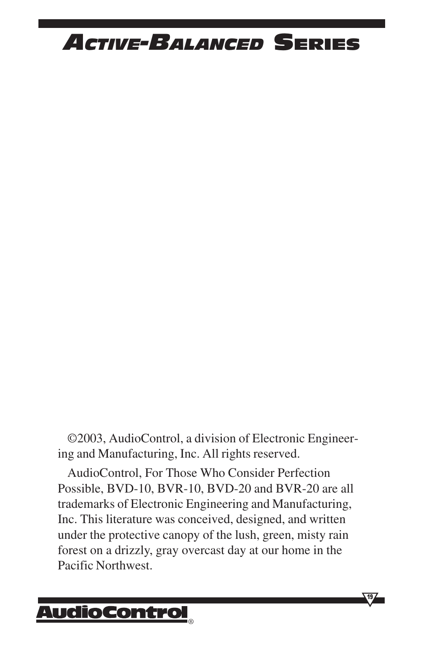©2003, AudioControl, a division of Electronic Engineering and Manufacturing, Inc. All rights reserved.

AudioControl, For Those Who Consider Perfection Possible, BVD-10, BVR-10, BVD-20 and BVR-20 are all trademarks of Electronic Engineering and Manufacturing, Inc. This literature was conceived, designed, and written under the protective canopy of the lush, green, misty rain forest on a drizzly, gray overcast day at our home in the Pacific Northwest.